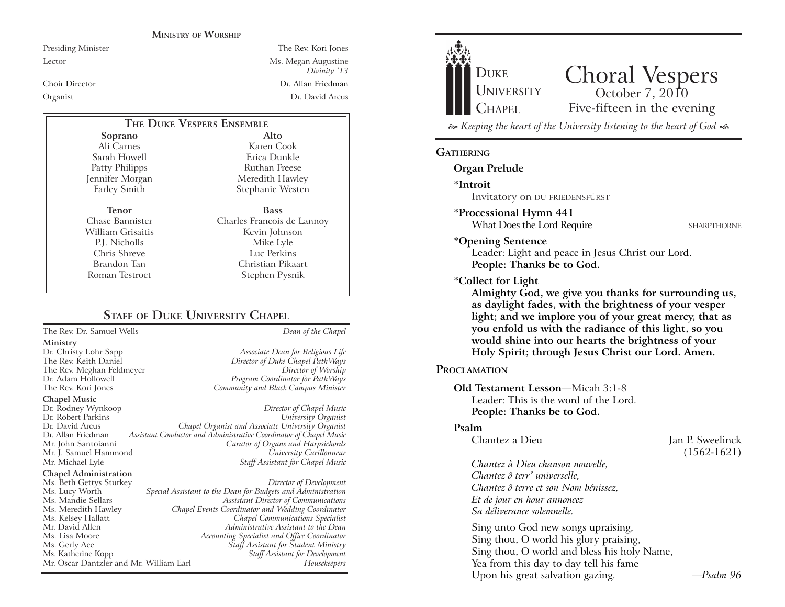#### **MINISTRY OF WORSHIP**

Presiding Minister The Rev. Kori Jones Lector Ms. Megan Augustine *Divinity* '13 Choir Director Dr. Allan Friedman Organist Dr. David Arcus

# **THE DUKE VESPERS ENSEMBLE**

**Soprano** Ali Carnes Sarah Howell Patty Philipps Jennifer Morgan Farley Smith

**Tenor** Chase Bannister William Grisaitis P.J. Nicholls Chris Shreve Brandon Tan Roman Testroet

**Alto** Karen Cook Erica Dunkle Ruthan Freese Meredith Hawley Stephanie Westen **Bass** Charles Francois de Lannoy

Kevin Johnson Mike Lyle Luc Perkins Christian Pikaart Stephen Pysnik

# **STAFF OF DUKE UNIVERSITY CHAPEL**

The Rev. Dr. Samuel Wells *Dean of the Chapel*

#### **Ministry**

**Chapel Music**

Dr. Rodney Wynkoop *Director of Chapel Music* Dr. David Arcus *Chapel Organist and Associate University Organist* Dr. Allan Friedman *Assistant Conductor and Administrative Coordinator of Chapel Music* Mr. J. Samuel Hammond *University Carillonneur* **Staff Assistant for Chapel Music** 

#### **Chapel Administration**

Mr. Oscar Dantzler and Mr. William Earl

Dr. Christy Lohr Sapp *Associate Dean for Religious Life* Director of Duke Chapel PathWays The Rev. Meghan Feldmeyer *Director of Worship* Program Coordinator for PathWays The Rev. Kori Jones *Community and Black Campus Minister*

# $University$  *Organist* **Curator of Organs and Harpsichords**

Ms. Beth Gettys Sturkey *Director of Development* Ms. Lucy Worth *Special Assistant to the Dean for Budgets and Administration* Ms. Mandie Sellars *Assistant Director of Communications* Ms. Meredith Hawley *Chapel Events Coordinator and Wedding Coordinator* Ms. Kelsey Hallatt *Chapel Communications Specialist* Mr. David Allen *Administrative Assistant to the Dean* Ms. Lisa Moore *Accounting Specialist and Office Coordinator* Ms. Gerly Ace *Staff Assistant for Student Ministry* Ms. Katherine Kopp *Staff Assistant for Development*



## **GATHERING**

**Organ Prelude**

**\*Introit** 

Invitatory on DU FRIEDENSFÜRST

#### **\*Processional Hymn 441**

What Does the Lord Require SHARPTHORNE

**\*Opening Sentence**

Leader: Light and peace in Jesus Christ our Lord. **People: Thanks be to God.**

**\*Collect for Light**

**Almighty God, we give you thanks for surrounding us, as daylight fades, with the brightness of your vesper light; and we implore you of your great mercy, that as you enfold us with the radiance of this light, so you would shine into our hearts the brightness of your Holy Spirit; through Jesus Christ our Lord. Amen.** 

#### **PROCLAMATION**

**Old Testament Lesson—Micah 3:1-8** Leader: This is the word of the Lord. **People: Thanks be to God.**

#### **Psalm**

Chantez a Dieu **Jan P.** Sweelinck (1562-1621)

*Chantez à Dieu chanson nouvelle, Chantez ô terr' universelle, Chantez ô terre et son Nom bénissez, Et de jour en hour annoncez Sa déliverance solemnelle.*

Sing unto God new songs upraising, Sing thou, O world his glory praising, Sing thou, O world and bless his holy Name, Yea from this day to day tell his fame Upon his great salvation gazing. The *Psalm 96*